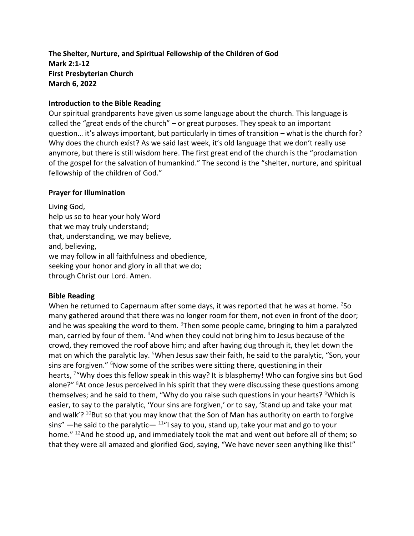# **The Shelter, Nurture, and Spiritual Fellowship of the Children of God Mark 2:1-12 First Presbyterian Church March 6, 2022**

## **Introduction to the Bible Reading**

Our spiritual grandparents have given us some language about the church. This language is called the "great ends of the church" – or great purposes. They speak to an important question… it's always important, but particularly in times of transition – what is the church for? Why does the church exist? As we said last week, it's old language that we don't really use anymore, but there is still wisdom here. The first great end of the church is the "proclamation of the gospel for the salvation of humankind." The second is the "shelter, nurture, and spiritual fellowship of the children of God."

### **Prayer for Illumination**

Living God, help us so to hear your holy Word that we may truly understand; that, understanding, we may believe, and, believing, we may follow in all faithfulness and obedience, seeking your honor and glory in all that we do; through Christ our Lord. Amen.

### **Bible Reading**

When he returned to Capernaum after some days, it was reported that he was at home.  $250$ many gathered around that there was no longer room for them, not even in front of the door; and he was speaking the word to them.  $3$ Then some people came, bringing to him a paralyzed man, carried by four of them. <sup>4</sup>And when they could not bring him to Jesus because of the crowd, they removed the roof above him; and after having dug through it, they let down the mat on which the paralytic lay. <sup>5</sup>When Jesus saw their faith, he said to the paralytic, "Son, your sins are forgiven."  $6$ Now some of the scribes were sitting there, questioning in their hearts, <sup>7</sup> "Why does this fellow speak in this way? It is blasphemy! Who can forgive sins but God alone?" <sup>8</sup>At once Jesus perceived in his spirit that they were discussing these questions among themselves; and he said to them, "Why do you raise such questions in your hearts?  $9$ Which is easier, to say to the paralytic, 'Your sins are forgiven,' or to say, 'Stand up and take your mat and walk'?  $10$ But so that you may know that the Son of Man has authority on earth to forgive sins" —he said to the paralytic—  $11^{\circ}$  say to you, stand up, take your mat and go to your home." <sup>12</sup>And he stood up, and immediately took the mat and went out before all of them; so that they were all amazed and glorified God, saying, "We have never seen anything like this!"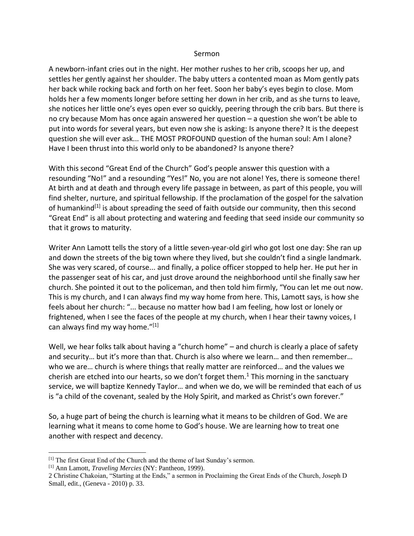#### Sermon

A newborn-infant cries out in the night. Her mother rushes to her crib, scoops her up, and settles her gently against her shoulder. The baby utters a contented moan as Mom gently pats her back while rocking back and forth on her feet. Soon her baby's eyes begin to close. Mom holds her a few moments longer before setting her down in her crib, and as she turns to leave, she notices her little one's eyes open ever so quickly, peering through the crib bars. But there is no cry because Mom has once again answered her question – a question she won't be able to put into words for several years, but even now she is asking: Is anyone there? It is the deepest question she will ever ask... THE MOST PROFOUND question of the human soul: Am I alone? Have I been thrust into this world only to be abandoned? Is anyone there?

With this second "Great End of the Church" God's people answer this question with a resounding "No!" and a resounding "Yes!" No, you are not alone! Yes, there is someone there! At birth and at death and through every life passage in between, as part of this people, you will find shelter, nurture, and spiritual fellowship. If the proclamation of the gospel for the salvation of humankind<sup>[1]</sup> is about spreading the seed of faith outside our community, then this second "Great End" is all about protecting and watering and feeding that seed inside our community so that it grows to maturity.

Writer Ann Lamott tells the story of a little seven-year-old girl who got lost one day: She ran up and down the streets of the big town where they lived, but she couldn't find a single landmark. She was very scared, of course... and finally, a police officer stopped to help her. He put her in the passenger seat of his car, and just drove around the neighborhood until she finally saw her church. She pointed it out to the policeman, and then told him firmly, "You can let me out now. This is my church, and I can always find my way home from here. This, Lamott says, is how she feels about her church: "... because no matter how bad I am feeling, how lost or lonely or frightened, when I see the faces of the people at my church, when I hear their tawny voices, I can always find my way home." $[1]$ 

Well, we hear folks talk about having a "church home" – and church is clearly a place of safety and security… but it's more than that. Church is also where we learn… and then remember… who we are… church is where things that really matter are reinforced… and the values we cherish are etched into our hearts, so we don't forget them.<sup>1</sup> This morning in the sanctuary service, we will baptize Kennedy Taylor… and when we do, we will be reminded that each of us is "a child of the covenant, sealed by the Holy Spirit, and marked as Christ's own forever."

So, a huge part of being the church is learning what it means to be children of God. We are learning what it means to come home to God's house. We are learning how to treat one another with respect and decency.

<sup>[1]</sup> The first Great End of the Church and the theme of last Sunday's sermon.

<sup>[1]</sup> Ann Lamott, *Traveling Mercies* (NY: Pantheon, 1999).

<sup>2</sup> Christine Chakoian, "Starting at the Ends," a sermon in Proclaiming the Great Ends of the Church, Joseph D Small, edit., (Geneva - 2010) p. 33.